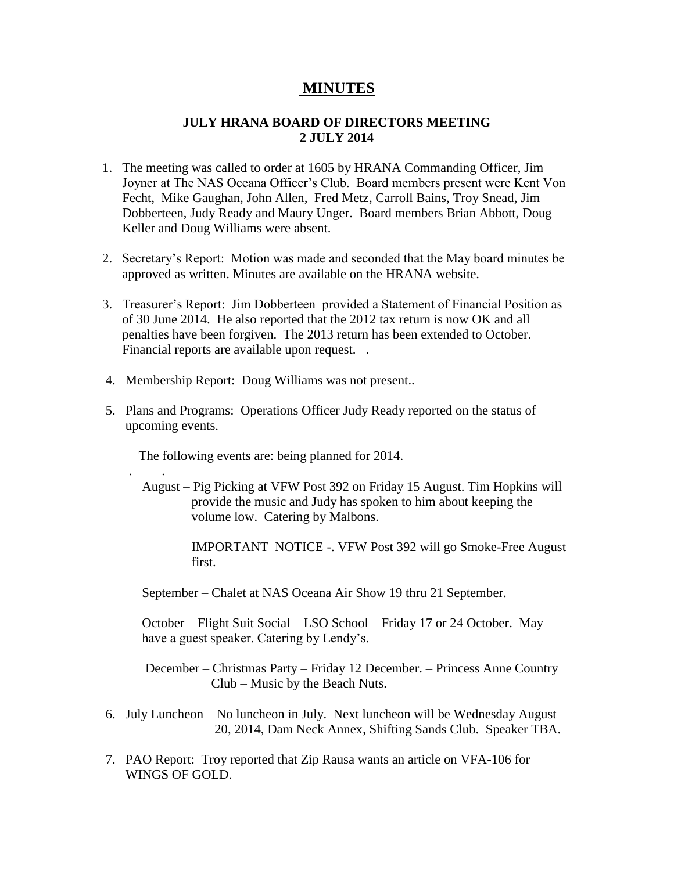## **MINUTES**

## **JULY HRANA BOARD OF DIRECTORS MEETING 2 JULY 2014**

- 1. The meeting was called to order at 1605 by HRANA Commanding Officer, Jim Joyner at The NAS Oceana Officer's Club. Board members present were Kent Von Fecht, Mike Gaughan, John Allen, Fred Metz, Carroll Bains, Troy Snead, Jim Dobberteen, Judy Ready and Maury Unger. Board members Brian Abbott, Doug Keller and Doug Williams were absent.
- 2. Secretary's Report: Motion was made and seconded that the May board minutes be approved as written. Minutes are available on the HRANA website.
- 3. Treasurer's Report: Jim Dobberteen provided a Statement of Financial Position as of 30 June 2014. He also reported that the 2012 tax return is now OK and all penalties have been forgiven. The 2013 return has been extended to October. Financial reports are available upon request. .
- 4. Membership Report: Doug Williams was not present..
- 5. Plans and Programs: Operations Officer Judy Ready reported on the status of upcoming events.

The following events are: being planned for 2014.

. .

 August – Pig Picking at VFW Post 392 on Friday 15 August. Tim Hopkins will provide the music and Judy has spoken to him about keeping the volume low. Catering by Malbons.

> IMPORTANT NOTICE -. VFW Post 392 will go Smoke-Free August first.

September – Chalet at NAS Oceana Air Show 19 thru 21 September.

 October – Flight Suit Social – LSO School – Friday 17 or 24 October. May have a guest speaker. Catering by Lendy's.

 December – Christmas Party – Friday 12 December. – Princess Anne Country Club – Music by the Beach Nuts.

- 6. July Luncheon No luncheon in July. Next luncheon will be Wednesday August 20, 2014, Dam Neck Annex, Shifting Sands Club. Speaker TBA.
- 7. PAO Report: Troy reported that Zip Rausa wants an article on VFA-106 for WINGS OF GOLD.